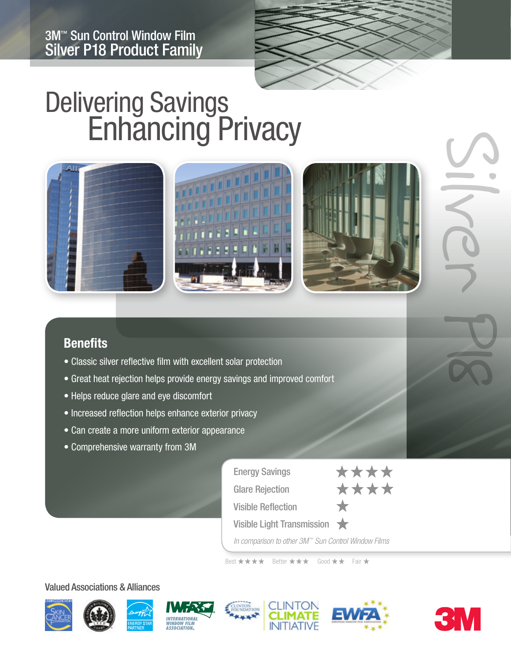

# Delivering Savings<br>
Enhancing Privacy



## **Benefits**

- Classic silver reflective film with excellent solar protection
- Great heat rejection helps provide energy savings and improved comfort
- Helps reduce glare and eye discomfort
- Increased reflection helps enhance exterior privacy
- Can create a more uniform exterior appearance
- Comprehensive warranty from 3M

| <b>Energy Savings</b>                                            | **** |
|------------------------------------------------------------------|------|
| <b>Glare Rejection</b>                                           | **** |
| <b>Visible Reflection</b>                                        |      |
| Visible Light Transmission                                       |      |
| In comparison to other $2M^{\text{IM}}$ Cun Control Window Eilme |      |

*In comparison to other 3M™ Sun Control Window Films*

Best \*\*\*\* Better \*\*\* Good \*\* Fair \*

#### Valued Associations & Alliances